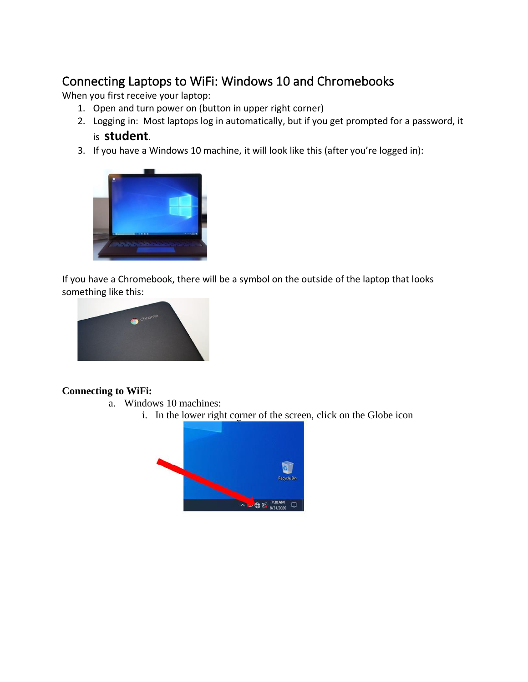## Connecting Laptops to WiFi: Windows 10 and Chromebooks

When you first receive your laptop:

- 1. Open and turn power on (button in upper right corner)
- 2. Logging in: Most laptops log in automatically, but if you get prompted for a password, it is **student**.
- 3. If you have a Windows 10 machine, it will look like this (after you're logged in):



If you have a Chromebook, there will be a symbol on the outside of the laptop that looks something like this:



## **Connecting to WiFi:**

- a. Windows 10 machines:
	- i. In the lower right corner of the screen, click on the Globe icon

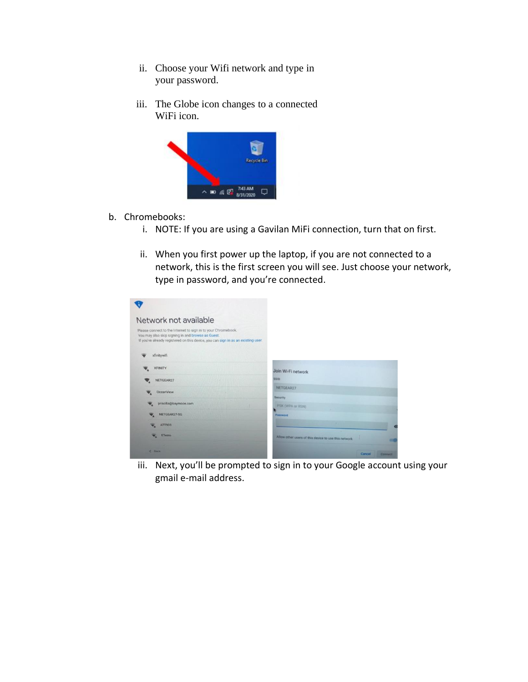- ii. Choose your Wifi network and type in your password.
- iii. The Globe icon changes to a connected WiFi icon.



- b. Chromebooks:
	- i. NOTE: If you are using a Gavilan MiFi connection, turn that on first.
	- ii. When you first power up the laptop, if you are not connected to a network, this is the first screen you will see. Just choose your network, type in password, and you're connected.

| Network not available                                                                                                                                                                                   |                                                      |  |
|---------------------------------------------------------------------------------------------------------------------------------------------------------------------------------------------------------|------------------------------------------------------|--|
|                                                                                                                                                                                                         |                                                      |  |
| Please connect to the Internet to sign in to your Chromebook.<br>You may also skip signing in and browse as Guest.<br>If you've already registered on this device, you can sign in as an existing user. |                                                      |  |
| xfinitywifi                                                                                                                                                                                             |                                                      |  |
| <b>XFINITY</b>                                                                                                                                                                                          | Join Wi-Fi network                                   |  |
| NETGEAR27                                                                                                                                                                                               | <b>SSID</b>                                          |  |
| OceanView                                                                                                                                                                                               | NETGEAR27                                            |  |
| priscilla@baymoon.com                                                                                                                                                                                   | Security                                             |  |
|                                                                                                                                                                                                         | PSK (WPA or RSN)                                     |  |
| NETGEAR27-5G                                                                                                                                                                                            | Password                                             |  |
| <b>ATT903</b>                                                                                                                                                                                           | $\sim$                                               |  |
| v.<br>ETeero                                                                                                                                                                                            | Allow other users of this device to use this network |  |

iii. Next, you'll be prompted to sign in to your Google account using your gmail e-mail address.